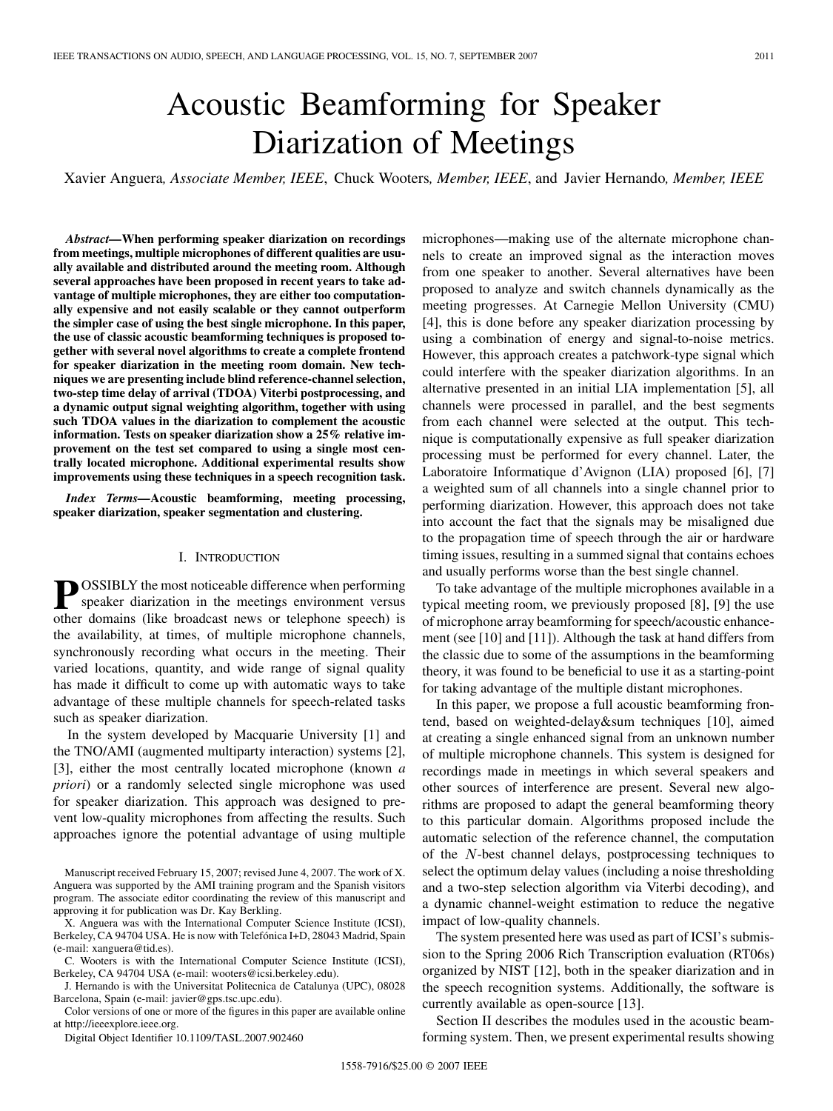# Acoustic Beamforming for Speaker Diarization of Meetings

Xavier Anguera*, Associate Member, IEEE*, Chuck Wooters*, Member, IEEE*, and Javier Hernando*, Member, IEEE*

*Abstract—***When performing speaker diarization on recordings from meetings, multiple microphones of different qualities are usually available and distributed around the meeting room. Although several approaches have been proposed in recent years to take advantage of multiple microphones, they are either too computationally expensive and not easily scalable or they cannot outperform the simpler case of using the best single microphone. In this paper, the use of classic acoustic beamforming techniques is proposed together with several novel algorithms to create a complete frontend for speaker diarization in the meeting room domain. New techniques we are presenting include blind reference-channel selection, two-step time delay of arrival (TDOA) Viterbi postprocessing, and a dynamic output signal weighting algorithm, together with using such TDOA values in the diarization to complement the acoustic information. Tests on speaker diarization show a 25% relative improvement on the test set compared to using a single most centrally located microphone. Additional experimental results show improvements using these techniques in a speech recognition task.**

*Index Terms—***Acoustic beamforming, meeting processing, speaker diarization, speaker segmentation and clustering.**

## I. INTRODUCTION

**P** OSSIBLY the most noticeable difference when performing speaker diarization in the meetings environment versus other domains (like broadcast news or telephone speech) is the availability, at times, of multiple microphone channels, synchronously recording what occurs in the meeting. Their varied locations, quantity, and wide range of signal quality has made it difficult to come up with automatic ways to take advantage of these multiple channels for speech-related tasks such as speaker diarization.

In the system developed by Macquarie University [1] and the TNO/AMI (augmented multiparty interaction) systems [2], [3], either the most centrally located microphone (known *a priori*) or a randomly selected single microphone was used for speaker diarization. This approach was designed to prevent low-quality microphones from affecting the results. Such approaches ignore the potential advantage of using multiple

Manuscript received February 15, 2007; revised June 4, 2007. The work of X. Anguera was supported by the AMI training program and the Spanish visitors program. The associate editor coordinating the review of this manuscript and approving it for publication was Dr. Kay Berkling.

X. Anguera was with the International Computer Science Institute (ICSI), Berkeley, CA 94704 USA. He is now with Telefónica I+D, 28043 Madrid, Spain (e-mail: xanguera@tid.es).

C. Wooters is with the International Computer Science Institute (ICSI), Berkeley, CA 94704 USA (e-mail: wooters@icsi.berkeley.edu).

J. Hernando is with the Universitat Politecnica de Catalunya (UPC), 08028 Barcelona, Spain (e-mail: javier@gps.tsc.upc.edu).

Color versions of one or more of the figures in this paper are available online at http://ieeexplore.ieee.org.

Digital Object Identifier 10.1109/TASL.2007.902460

microphones—making use of the alternate microphone channels to create an improved signal as the interaction moves from one speaker to another. Several alternatives have been proposed to analyze and switch channels dynamically as the meeting progresses. At Carnegie Mellon University (CMU) [4], this is done before any speaker diarization processing by using a combination of energy and signal-to-noise metrics. However, this approach creates a patchwork-type signal which could interfere with the speaker diarization algorithms. In an alternative presented in an initial LIA implementation [5], all channels were processed in parallel, and the best segments from each channel were selected at the output. This technique is computationally expensive as full speaker diarization processing must be performed for every channel. Later, the Laboratoire Informatique d'Avignon (LIA) proposed [6], [7] a weighted sum of all channels into a single channel prior to performing diarization. However, this approach does not take into account the fact that the signals may be misaligned due to the propagation time of speech through the air or hardware timing issues, resulting in a summed signal that contains echoes and usually performs worse than the best single channel.

To take advantage of the multiple microphones available in a typical meeting room, we previously proposed [8], [9] the use of microphone array beamforming for speech/acoustic enhancement (see [10] and [11]). Although the task at hand differs from the classic due to some of the assumptions in the beamforming theory, it was found to be beneficial to use it as a starting-point for taking advantage of the multiple distant microphones.

In this paper, we propose a full acoustic beamforming frontend, based on weighted-delay&sum techniques [10], aimed at creating a single enhanced signal from an unknown number of multiple microphone channels. This system is designed for recordings made in meetings in which several speakers and other sources of interference are present. Several new algorithms are proposed to adapt the general beamforming theory to this particular domain. Algorithms proposed include the automatic selection of the reference channel, the computation of the  $N$ -best channel delays, postprocessing techniques to select the optimum delay values (including a noise thresholding and a two-step selection algorithm via Viterbi decoding), and a dynamic channel-weight estimation to reduce the negative impact of low-quality channels.

The system presented here was used as part of ICSI's submission to the Spring 2006 Rich Transcription evaluation (RT06s) organized by NIST [12], both in the speaker diarization and in the speech recognition systems. Additionally, the software is currently available as open-source [13].

Section II describes the modules used in the acoustic beamforming system. Then, we present experimental results showing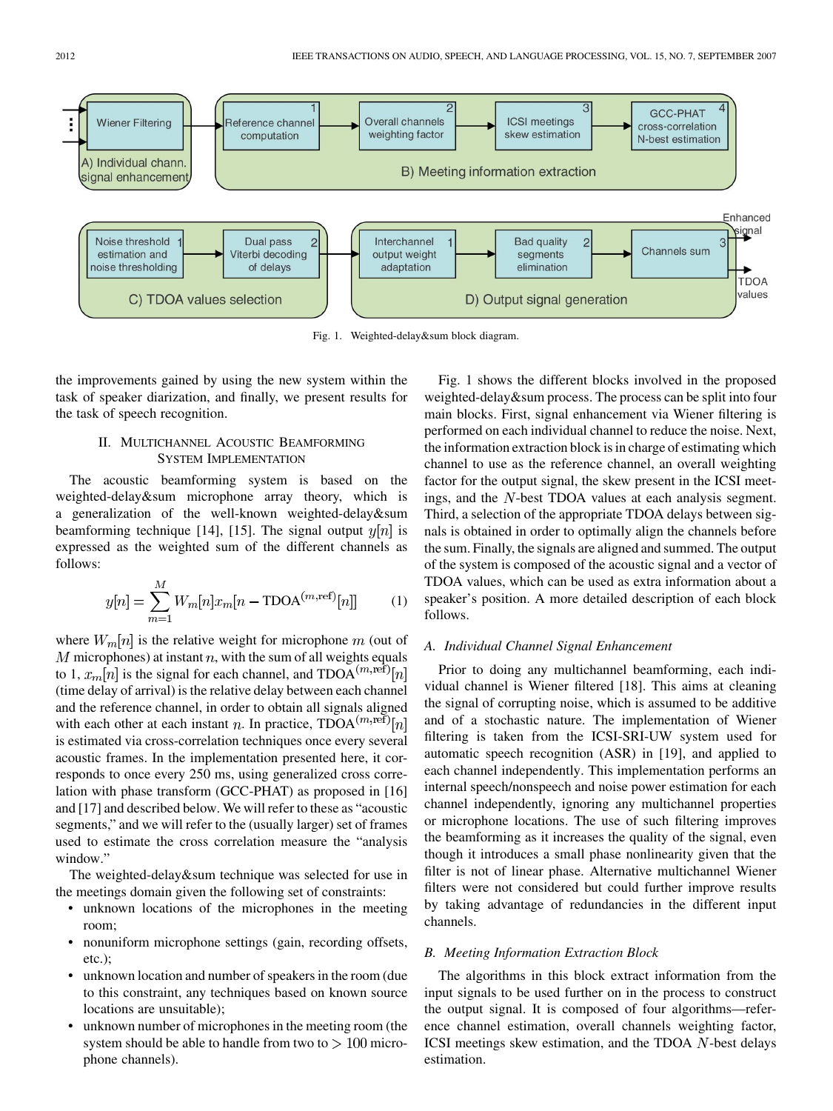

Fig. 1. Weighted-delay&sum block diagram.

the improvements gained by using the new system within the task of speaker diarization, and finally, we present results for the task of speech recognition.

# II. MULTICHANNEL ACOUSTIC BEAMFORMING SYSTEM IMPLEMENTATION

The acoustic beamforming system is based on the weighted-delay&sum microphone array theory, which is a generalization of the well-known weighted-delay&sum beamforming technique [14], [15]. The signal output  $y[n]$  is expressed as the weighted sum of the different channels as follows:

$$
y[n] = \sum_{m=1}^{M} W_m[n]x_m[n - \text{TDOA}^{(m, \text{ref})}[n]] \tag{1}
$$

where  $W_m[n]$  is the relative weight for microphone m (out of  $M$  microphones) at instant  $n$ , with the sum of all weights equals to 1,  $x_m[n]$  is the signal for each channel, and TDOA<sup> $(m,ref)[n]$ </sup> (time delay of arrival) is the relative delay between each channel and the reference channel, in order to obtain all signals aligned with each other at each instant n. In practice, TDOA<sup> $(m, ref)$ </sup>[n] is estimated via cross-correlation techniques once every several acoustic frames. In the implementation presented here, it corresponds to once every 250 ms, using generalized cross correlation with phase transform (GCC-PHAT) as proposed in [16] and [17] and described below. We will refer to these as "acoustic segments," and we will refer to the (usually larger) set of frames used to estimate the cross correlation measure the "analysis window."

The weighted-delay&sum technique was selected for use in the meetings domain given the following set of constraints:

- unknown locations of the microphones in the meeting room;
- nonuniform microphone settings (gain, recording offsets, etc.);
- unknown location and number of speakers in the room (due to this constraint, any techniques based on known source locations are unsuitable);
- unknown number of microphones in the meeting room (the system should be able to handle from two to  $> 100$  microphone channels).

Fig. 1 shows the different blocks involved in the proposed weighted-delay&sum process. The process can be split into four main blocks. First, signal enhancement via Wiener filtering is performed on each individual channel to reduce the noise. Next, the information extraction block is in charge of estimating which channel to use as the reference channel, an overall weighting factor for the output signal, the skew present in the ICSI meetings, and the  $N$ -best TDOA values at each analysis segment. Third, a selection of the appropriate TDOA delays between signals is obtained in order to optimally align the channels before the sum. Finally, the signals are aligned and summed. The output of the system is composed of the acoustic signal and a vector of TDOA values, which can be used as extra information about a speaker's position. A more detailed description of each block follows.

## *A. Individual Channel Signal Enhancement*

Prior to doing any multichannel beamforming, each individual channel is Wiener filtered [18]. This aims at cleaning the signal of corrupting noise, which is assumed to be additive and of a stochastic nature. The implementation of Wiener filtering is taken from the ICSI-SRI-UW system used for automatic speech recognition (ASR) in [19], and applied to each channel independently. This implementation performs an internal speech/nonspeech and noise power estimation for each channel independently, ignoring any multichannel properties or microphone locations. The use of such filtering improves the beamforming as it increases the quality of the signal, even though it introduces a small phase nonlinearity given that the filter is not of linear phase. Alternative multichannel Wiener filters were not considered but could further improve results by taking advantage of redundancies in the different input channels.

#### *B. Meeting Information Extraction Block*

The algorithms in this block extract information from the input signals to be used further on in the process to construct the output signal. It is composed of four algorithms—reference channel estimation, overall channels weighting factor, ICSI meetings skew estimation, and the TDOA  $N$ -best delays estimation.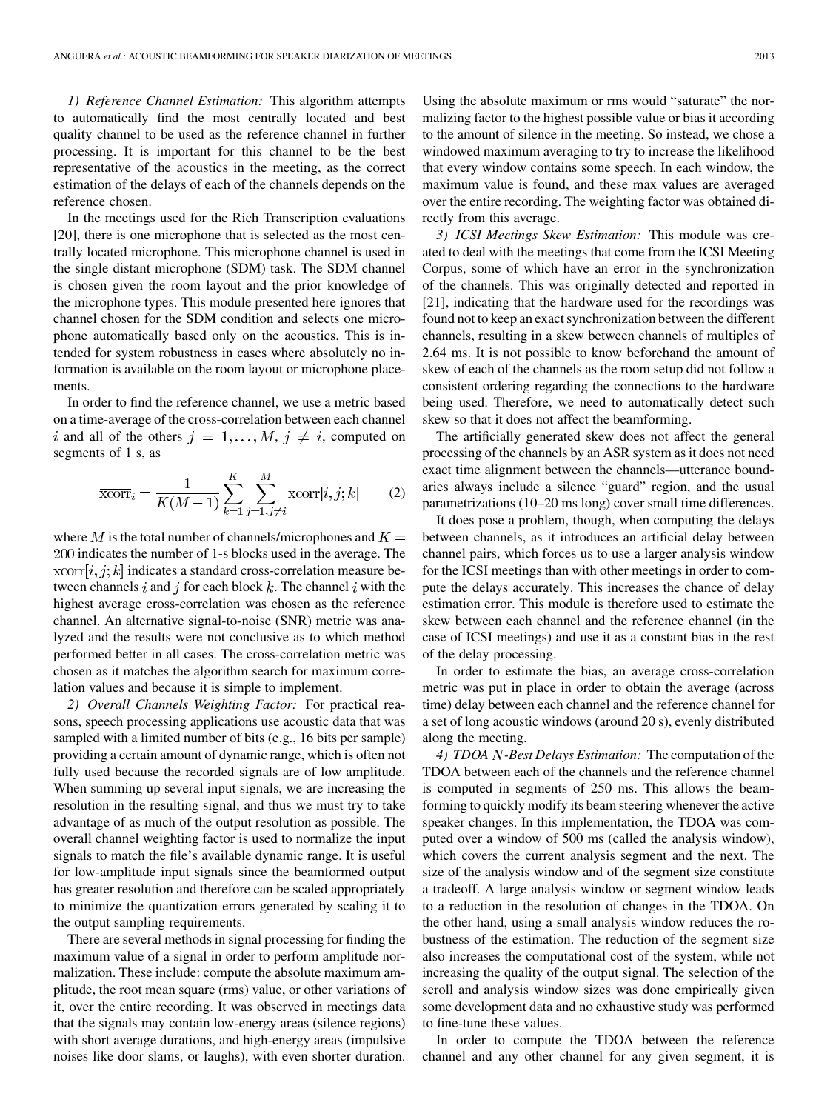*1) Reference Channel Estimation:* This algorithm attempts to automatically find the most centrally located and best quality channel to be used as the reference channel in further processing. It is important for this channel to be the best representative of the acoustics in the meeting, as the correct estimation of the delays of each of the channels depends on the reference chosen.

In the meetings used for the Rich Transcription evaluations [20], there is one microphone that is selected as the most centrally located microphone. This microphone channel is used in the single distant microphone (SDM) task. The SDM channel is chosen given the room layout and the prior knowledge of the microphone types. This module presented here ignores that channel chosen for the SDM condition and selects one microphone automatically based only on the acoustics. This is intended for system robustness in cases where absolutely no information is available on the room layout or microphone placements.

In order to find the reference channel, we use a metric based on a time-average of the cross-correlation between each channel i and all of the others  $j = 1, ..., M, j \neq i$ , computed on segments of 1 s, as

$$
\overline{\text{Xcorr}}_i = \frac{1}{K(M-1)} \sum_{k=1}^{K} \sum_{j=1, j \neq i}^{M} \text{Xcorr}[i, j; k] \tag{2}
$$

where M is the total number of channels/microphones and  $K =$ 200 indicates the number of 1-s blocks used in the average. The  $xcorr[i, j; k]$  indicates a standard cross-correlation measure between channels i and j for each block  $k$ . The channel i with the highest average cross-correlation was chosen as the reference channel. An alternative signal-to-noise (SNR) metric was analyzed and the results were not conclusive as to which method performed better in all cases. The cross-correlation metric was chosen as it matches the algorithm search for maximum correlation values and because it is simple to implement.

*2) Overall Channels Weighting Factor:* For practical reasons, speech processing applications use acoustic data that was sampled with a limited number of bits (e.g., 16 bits per sample) providing a certain amount of dynamic range, which is often not fully used because the recorded signals are of low amplitude. When summing up several input signals, we are increasing the resolution in the resulting signal, and thus we must try to take advantage of as much of the output resolution as possible. The overall channel weighting factor is used to normalize the input signals to match the file's available dynamic range. It is useful for low-amplitude input signals since the beamformed output has greater resolution and therefore can be scaled appropriately to minimize the quantization errors generated by scaling it to the output sampling requirements.

There are several methods in signal processing for finding the maximum value of a signal in order to perform amplitude normalization. These include: compute the absolute maximum amplitude, the root mean square (rms) value, or other variations of it, over the entire recording. It was observed in meetings data that the signals may contain low-energy areas (silence regions) with short average durations, and high-energy areas (impulsive noises like door slams, or laughs), with even shorter duration.

Using the absolute maximum or rms would "saturate" the normalizing factor to the highest possible value or bias it according to the amount of silence in the meeting. So instead, we chose a windowed maximum averaging to try to increase the likelihood that every window contains some speech. In each window, the maximum value is found, and these max values are averaged over the entire recording. The weighting factor was obtained directly from this average.

*3) ICSI Meetings Skew Estimation:* This module was created to deal with the meetings that come from the ICSI Meeting Corpus, some of which have an error in the synchronization of the channels. This was originally detected and reported in [21], indicating that the hardware used for the recordings was found not to keep an exact synchronization between the different channels, resulting in a skew between channels of multiples of 2.64 ms. It is not possible to know beforehand the amount of skew of each of the channels as the room setup did not follow a consistent ordering regarding the connections to the hardware being used. Therefore, we need to automatically detect such skew so that it does not affect the beamforming.

The artificially generated skew does not affect the general processing of the channels by an ASR system as it does not need exact time alignment between the channels—utterance boundaries always include a silence "guard" region, and the usual parametrizations (10–20 ms long) cover small time differences.

It does pose a problem, though, when computing the delays between channels, as it introduces an artificial delay between channel pairs, which forces us to use a larger analysis window for the ICSI meetings than with other meetings in order to compute the delays accurately. This increases the chance of delay estimation error. This module is therefore used to estimate the skew between each channel and the reference channel (in the case of ICSI meetings) and use it as a constant bias in the rest of the delay processing.

In order to estimate the bias, an average cross-correlation metric was put in place in order to obtain the average (across time) delay between each channel and the reference channel for a set of long acoustic windows (around 20 s), evenly distributed along the meeting.

4) *TDOA N-Best Delays Estimation:* The computation of the TDOA between each of the channels and the reference channel is computed in segments of 250 ms. This allows the beamforming to quickly modify its beam steering whenever the active speaker changes. In this implementation, the TDOA was computed over a window of 500 ms (called the analysis window), which covers the current analysis segment and the next. The size of the analysis window and of the segment size constitute a tradeoff. A large analysis window or segment window leads to a reduction in the resolution of changes in the TDOA. On the other hand, using a small analysis window reduces the robustness of the estimation. The reduction of the segment size also increases the computational cost of the system, while not increasing the quality of the output signal. The selection of the scroll and analysis window sizes was done empirically given some development data and no exhaustive study was performed to fine-tune these values.

In order to compute the TDOA between the reference channel and any other channel for any given segment, it is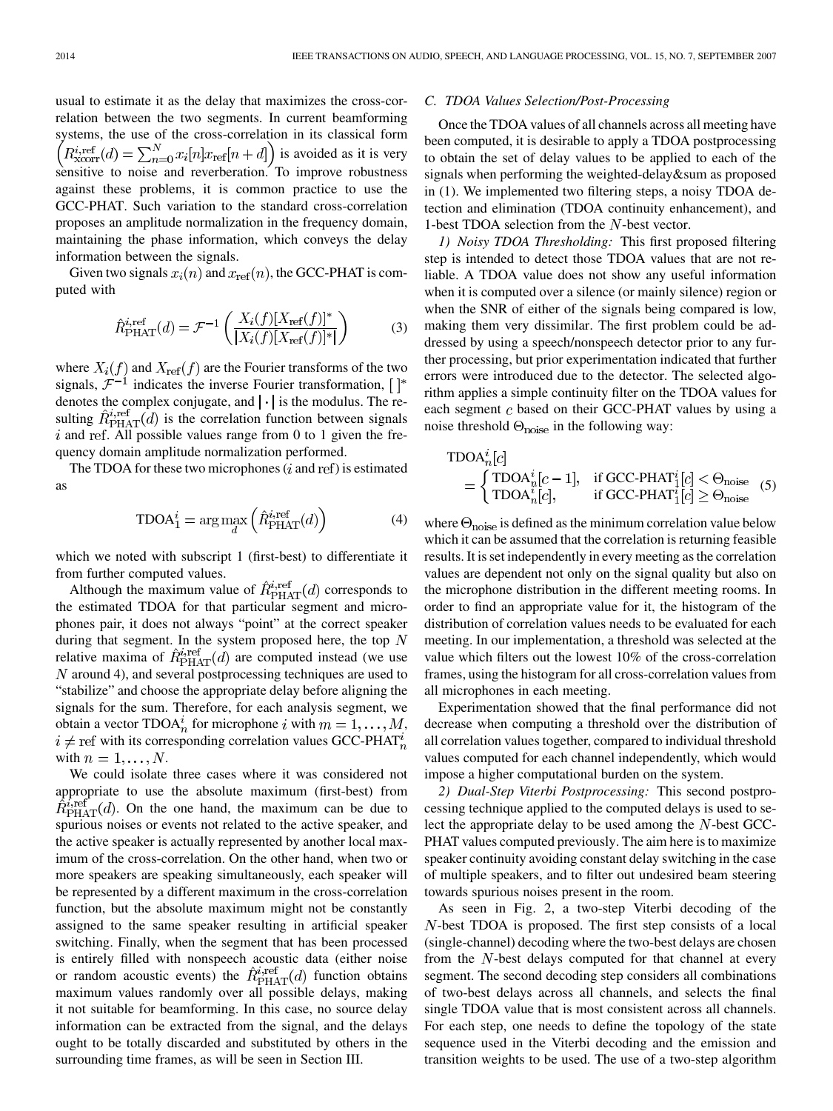usual to estimate it as the delay that maximizes the cross-correlation between the two segments. In current beamforming systems, the use of the cross-correlation in its classical form  $\left(R_{\text{Xcorr}}^{i,\text{ref}}(d) = \sum_{n=0}^{N} x_i[n]x_{\text{ref}}[n+d]\right)$  is avoided as it is very sensitive to noise and reverberation. To improve robustness against these problems, it is common practice to use the GCC-PHAT. Such variation to the standard cross-correlation proposes an amplitude normalization in the frequency domain, maintaining the phase information, which conveys the delay information between the signals.

Given two signals  $x_i(n)$  and  $x_{ref}(n)$ , the GCC-PHAT is computed with

$$
\hat{R}_{\text{PHAT}}^{i,\text{ref}}(d) = \mathcal{F}^{-1}\left(\frac{X_i(f)[X_{\text{ref}}(f)]^*}{|X_i(f)[X_{\text{ref}}(f)]^*|}\right) \tag{3}
$$

where  $X_i(f)$  and  $X_{\text{ref}}(f)$  are the Fourier transforms of the two signals,  $\mathcal{F}^{-1}$  indicates the inverse Fourier transformation,  $[$  |\* denotes the complex conjugate, and  $\lvert \cdot \rvert$  is the modulus. The resulting  $\hat{R}_{\text{PHAT}}^{i,\text{ref}}(d)$  is the correlation function between signals  $i$  and ref. All possible values range from 0 to 1 given the frequency domain amplitude normalization performed.

The TDOA for these two microphones  $(i$  and ref) is estimated as

$$
TDOA_1^i = \arg\max_d \left(\hat{R}_{\text{PHAT}}^{i,\text{ref}}(d)\right) \tag{4}
$$

which we noted with subscript 1 (first-best) to differentiate it from further computed values.

Although the maximum value of  $\hat{R}_{\text{PHAT}}^{i,\text{ref}}(d)$  corresponds to the estimated TDOA for that particular segment and microphones pair, it does not always "point" at the correct speaker during that segment. In the system proposed here, the top  $N$ relative maxima of  $\hat{R}^{i,\text{ref}}_{\text{PHAT}}(d)$  are computed instead (we use  $N$  around 4), and several postprocessing techniques are used to "stabilize" and choose the appropriate delay before aligning the signals for the sum. Therefore, for each analysis segment, we obtain a vector TDOA<sup> $i$ </sup> for microphone i with  $m = 1, ..., M$ ,  $i \neq$  ref with its corresponding correlation values GCC-PHAT<sup>n</sup> with  $n = 1, \ldots, N$ .

We could isolate three cases where it was considered not appropriate to use the absolute maximum (first-best) from  $\hat{R}_{\text{PHAT}}^{i,\text{ref}}(d)$ . On the one hand, the maximum can be due to spurious noises or events not related to the active speaker, and the active speaker is actually represented by another local maximum of the cross-correlation. On the other hand, when two or more speakers are speaking simultaneously, each speaker will be represented by a different maximum in the cross-correlation function, but the absolute maximum might not be constantly assigned to the same speaker resulting in artificial speaker switching. Finally, when the segment that has been processed is entirely filled with nonspeech acoustic data (either noise or random acoustic events) the  $\hat{R}_{\text{PHAT}}^{i,\text{ref}}(d)$  function obtains maximum values randomly over all possible delays, making it not suitable for beamforming. In this case, no source delay information can be extracted from the signal, and the delays ought to be totally discarded and substituted by others in the surrounding time frames, as will be seen in Section III.

## *C. TDOA Values Selection/Post-Processing*

Once the TDOA values of all channels across all meeting have been computed, it is desirable to apply a TDOA postprocessing to obtain the set of delay values to be applied to each of the signals when performing the weighted-delay&sum as proposed in (1). We implemented two filtering steps, a noisy TDOA detection and elimination (TDOA continuity enhancement), and 1-best TDOA selection from the  $N$ -best vector.

*1) Noisy TDOA Thresholding:* This first proposed filtering step is intended to detect those TDOA values that are not reliable. A TDOA value does not show any useful information when it is computed over a silence (or mainly silence) region or when the SNR of either of the signals being compared is low, making them very dissimilar. The first problem could be addressed by using a speech/nonspeech detector prior to any further processing, but prior experimentation indicated that further errors were introduced due to the detector. The selected algorithm applies a simple continuity filter on the TDOA values for each segment  $c$  based on their GCC-PHAT values by using a noise threshold  $\Theta_{\text{noise}}$  in the following way:

$$
\text{TDOA}_{n}^{i}[c]
$$
\n
$$
= \begin{cases}\n\text{TDOA}_{n}^{i}[c-1], & \text{if GCC-PHAT}_{1}^{i}[c] < \Theta_{\text{noise}} \\
\text{TDOA}_{n}^{i}[c], & \text{if GCC-PHAT}_{1}^{i}[c] \ge \Theta_{\text{noise}}\n\end{cases}
$$
\n(5)

where  $\Theta_{\text{noise}}$  is defined as the minimum correlation value below which it can be assumed that the correlation is returning feasible results. It is set independently in every meeting as the correlation values are dependent not only on the signal quality but also on the microphone distribution in the different meeting rooms. In order to find an appropriate value for it, the histogram of the distribution of correlation values needs to be evaluated for each meeting. In our implementation, a threshold was selected at the value which filters out the lowest 10% of the cross-correlation frames, using the histogram for all cross-correlation values from all microphones in each meeting.

Experimentation showed that the final performance did not decrease when computing a threshold over the distribution of all correlation values together, compared to individual threshold values computed for each channel independently, which would impose a higher computational burden on the system.

*2) Dual-Step Viterbi Postprocessing:* This second postprocessing technique applied to the computed delays is used to select the appropriate delay to be used among the  $N$ -best GCC-PHAT values computed previously. The aim here is to maximize speaker continuity avoiding constant delay switching in the case of multiple speakers, and to filter out undesired beam steering towards spurious noises present in the room.

As seen in Fig. 2, a two-step Viterbi decoding of the  $N$ -best TDOA is proposed. The first step consists of a local (single-channel) decoding where the two-best delays are chosen from the  $N$ -best delays computed for that channel at every segment. The second decoding step considers all combinations of two-best delays across all channels, and selects the final single TDOA value that is most consistent across all channels. For each step, one needs to define the topology of the state sequence used in the Viterbi decoding and the emission and transition weights to be used. The use of a two-step algorithm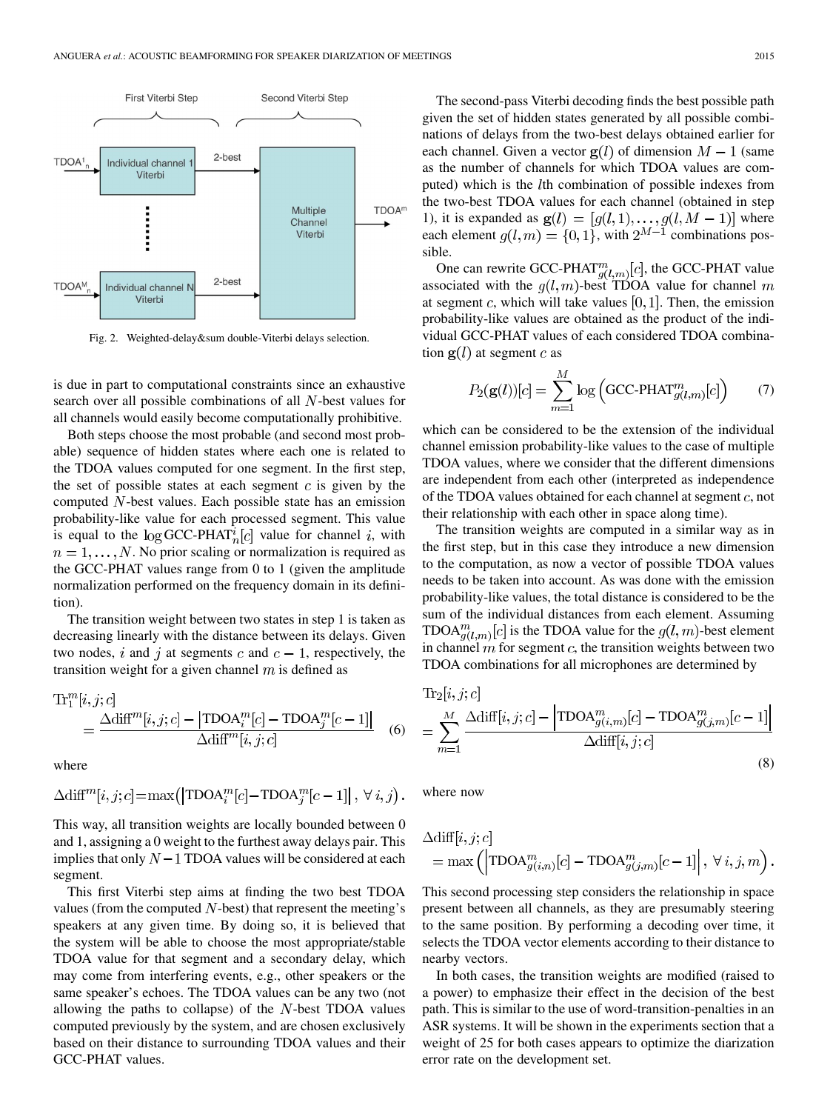

Fig. 2. Weighted-delay&sum double-Viterbi delays selection.

is due in part to computational constraints since an exhaustive search over all possible combinations of all  $N$ -best values for all channels would easily become computationally prohibitive.

Both steps choose the most probable (and second most probable) sequence of hidden states where each one is related to the TDOA values computed for one segment. In the first step, the set of possible states at each segment  $c$  is given by the computed  $N$ -best values. Each possible state has an emission probability-like value for each processed segment. This value is equal to the  $\log$  GCC-PHAT<sup>*n*</sup><sub>n</sub> $[c]$  value for channel *i*, with  $n = 1, \ldots, N$ . No prior scaling or normalization is required as the GCC-PHAT values range from 0 to 1 (given the amplitude normalization performed on the frequency domain in its definition).

The transition weight between two states in step 1 is taken as decreasing linearly with the distance between its delays. Given two nodes, i and j at segments c and  $c - 1$ , respectively, the transition weight for a given channel  $m$  is defined as

$$
\text{Tr}_{1}^{m}[i,j;c] = \frac{\Delta \text{diff}^{m}[i,j;c] - |\text{TDOA}_{i}^{m}[c] - \text{TDOA}_{j}^{m}[c-1]|}{\Delta \text{diff}^{m}[i,j;c]} \quad (6)
$$

where

$$
\Delta \text{diff}^m[i, j; c] = \max\left(\left|\text{TDOA}_i^m[c] - \text{TDOA}_j^m[c-1]\right|, \forall i, j\right).
$$

This way, all transition weights are locally bounded between 0 and 1, assigning a 0 weight to the furthest away delays pair. This implies that only  $N-1$  TDOA values will be considered at each segment.

This first Viterbi step aims at finding the two best TDOA values (from the computed  $N$ -best) that represent the meeting's speakers at any given time. By doing so, it is believed that the system will be able to choose the most appropriate/stable TDOA value for that segment and a secondary delay, which may come from interfering events, e.g., other speakers or the same speaker's echoes. The TDOA values can be any two (not allowing the paths to collapse) of the  $N$ -best TDOA values computed previously by the system, and are chosen exclusively based on their distance to surrounding TDOA values and their GCC-PHAT values.

The second-pass Viterbi decoding finds the best possible path given the set of hidden states generated by all possible combinations of delays from the two-best delays obtained earlier for each channel. Given a vector  $g(l)$  of dimension  $M-1$  (same as the number of channels for which TDOA values are computed) which is the  $l$ th combination of possible indexes from the two-best TDOA values for each channel (obtained in step 1), it is expanded as  $g(l) = [g(l, 1), \dots, g(l, M-1)]$  where each element  $g(l,m) = \{0,1\}$ , with  $2^{M-1}$  combinations possible.

One can rewrite GCC-PHAT $_{g(l,m)}^{m}[c]$ , the GCC-PHAT value associated with the  $g(l,m)$ -best TDOA value for channel m at segment c, which will take values  $[0, 1]$ . Then, the emission probability-like values are obtained as the product of the individual GCC-PHAT values of each considered TDOA combination  $g(l)$  at segment c as

$$
P_2(\mathbf{g}(l))[c] = \sum_{m=1}^{M} \log \left( \text{GCC-PHAT}_{g(l,m)}^{m}[c] \right) \tag{7}
$$

which can be considered to be the extension of the individual channel emission probability-like values to the case of multiple TDOA values, where we consider that the different dimensions are independent from each other (interpreted as independence of the TDOA values obtained for each channel at segment  $c$ , not their relationship with each other in space along time).

The transition weights are computed in a similar way as in the first step, but in this case they introduce a new dimension to the computation, as now a vector of possible TDOA values needs to be taken into account. As was done with the emission probability-like values, the total distance is considered to be the sum of the individual distances from each element. Assuming TDOA $_{q(l,m)}^m[c]$  is the TDOA value for the  $g(l,m)$ -best element in channel  $m$  for segment  $c$ , the transition weights between two TDOA combinations for all microphones are determined by

$$
\text{Tr}_2[i,j;c] = \frac{M}{\text{Adiff}[i,j;c] - \left| \text{TDOA}_{g(i,m)}^m[c] - \text{TDOA}_{g(j,m)}^m[c-1] \right|} \over \text{Adiff}[i,j;c]} \tag{8}
$$

where now

$$
\Delta \text{diff}[i, j; c] \n= \max \left( \left| \text{TDOA}_{g(i,n)}^m[c] - \text{TDOA}_{g(j,m)}^m[c-1] \right|, \forall i, j, m \right).
$$

This second processing step considers the relationship in space present between all channels, as they are presumably steering to the same position. By performing a decoding over time, it selects the TDOA vector elements according to their distance to nearby vectors.

In both cases, the transition weights are modified (raised to a power) to emphasize their effect in the decision of the best path. This is similar to the use of word-transition-penalties in an ASR systems. It will be shown in the experiments section that a weight of 25 for both cases appears to optimize the diarization error rate on the development set.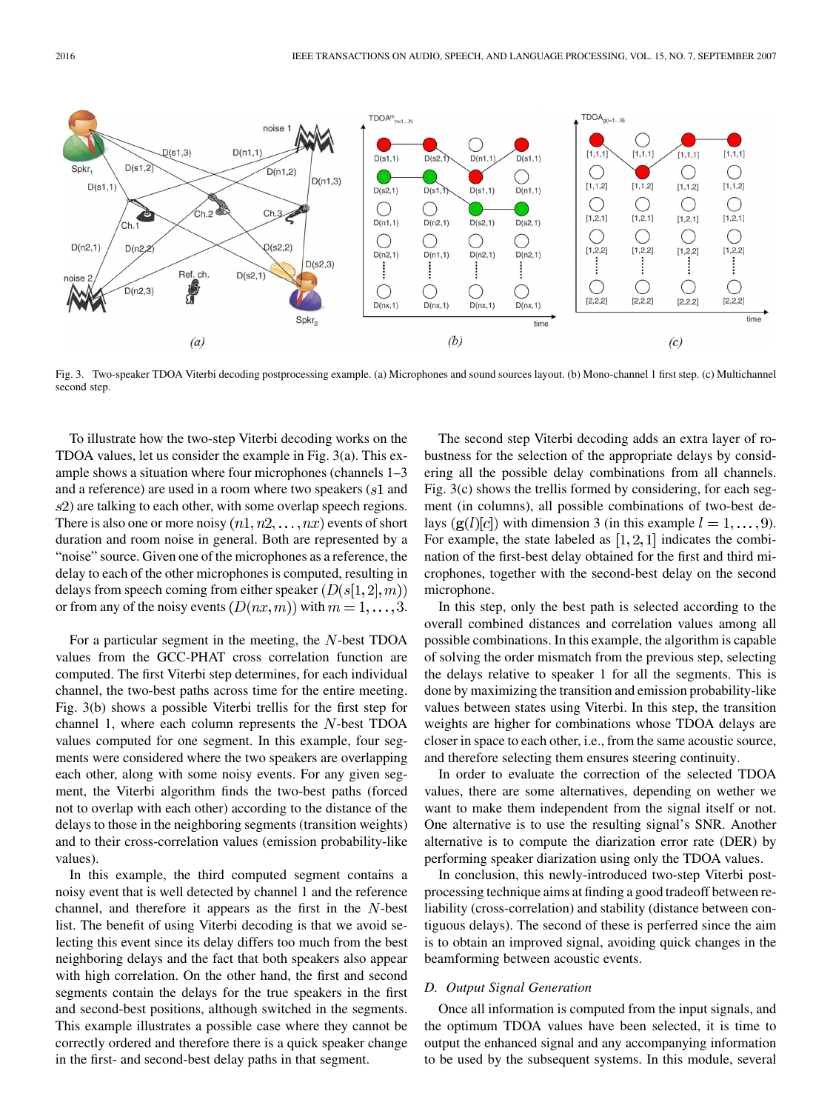

Fig. 3. Two-speaker TDOA Viterbi decoding postprocessing example. (a) Microphones and sound sources layout. (b) Mono-channel 1 first step. (c) Multichannel second step.

To illustrate how the two-step Viterbi decoding works on the TDOA values, let us consider the example in Fig. 3(a). This example shows a situation where four microphones (channels 1–3 and a reference) are used in a room where two speakers  $(s1$  and  $s<sub>2</sub>$ ) are talking to each other, with some overlap speech regions. There is also one or more noisy  $(n1, n2, \dots, nx)$  events of short duration and room noise in general. Both are represented by a "noise" source. Given one of the microphones as a reference, the delay to each of the other microphones is computed, resulting in delays from speech coming from either speaker  $(D(s[1, 2], m))$ or from any of the noisy events  $(D(nx, m))$  with  $m = 1, \ldots, 3$ .

For a particular segment in the meeting, the  $N$ -best TDOA values from the GCC-PHAT cross correlation function are computed. The first Viterbi step determines, for each individual channel, the two-best paths across time for the entire meeting. Fig. 3(b) shows a possible Viterbi trellis for the first step for channel 1, where each column represents the  $N$ -best TDOA values computed for one segment. In this example, four segments were considered where the two speakers are overlapping each other, along with some noisy events. For any given segment, the Viterbi algorithm finds the two-best paths (forced not to overlap with each other) according to the distance of the delays to those in the neighboring segments (transition weights) and to their cross-correlation values (emission probability-like values).

In this example, the third computed segment contains a noisy event that is well detected by channel 1 and the reference channel, and therefore it appears as the first in the  $N$ -best list. The benefit of using Viterbi decoding is that we avoid selecting this event since its delay differs too much from the best neighboring delays and the fact that both speakers also appear with high correlation. On the other hand, the first and second segments contain the delays for the true speakers in the first and second-best positions, although switched in the segments. This example illustrates a possible case where they cannot be correctly ordered and therefore there is a quick speaker change in the first- and second-best delay paths in that segment.

The second step Viterbi decoding adds an extra layer of robustness for the selection of the appropriate delays by considering all the possible delay combinations from all channels. Fig. 3(c) shows the trellis formed by considering, for each segment (in columns), all possible combinations of two-best delays  $(g(l)[c])$  with dimension 3 (in this example  $l = 1, ..., 9$ ). For example, the state labeled as  $[1, 2, 1]$  indicates the combination of the first-best delay obtained for the first and third microphones, together with the second-best delay on the second microphone.

In this step, only the best path is selected according to the overall combined distances and correlation values among all possible combinations. In this example, the algorithm is capable of solving the order mismatch from the previous step, selecting the delays relative to speaker 1 for all the segments. This is done by maximizing the transition and emission probability-like values between states using Viterbi. In this step, the transition weights are higher for combinations whose TDOA delays are closer in space to each other, i.e., from the same acoustic source, and therefore selecting them ensures steering continuity.

In order to evaluate the correction of the selected TDOA values, there are some alternatives, depending on wether we want to make them independent from the signal itself or not. One alternative is to use the resulting signal's SNR. Another alternative is to compute the diarization error rate (DER) by performing speaker diarization using only the TDOA values.

In conclusion, this newly-introduced two-step Viterbi postprocessing technique aims at finding a good tradeoff between reliability (cross-correlation) and stability (distance between contiguous delays). The second of these is perferred since the aim is to obtain an improved signal, avoiding quick changes in the beamforming between acoustic events.

## *D. Output Signal Generation*

Once all information is computed from the input signals, and the optimum TDOA values have been selected, it is time to output the enhanced signal and any accompanying information to be used by the subsequent systems. In this module, several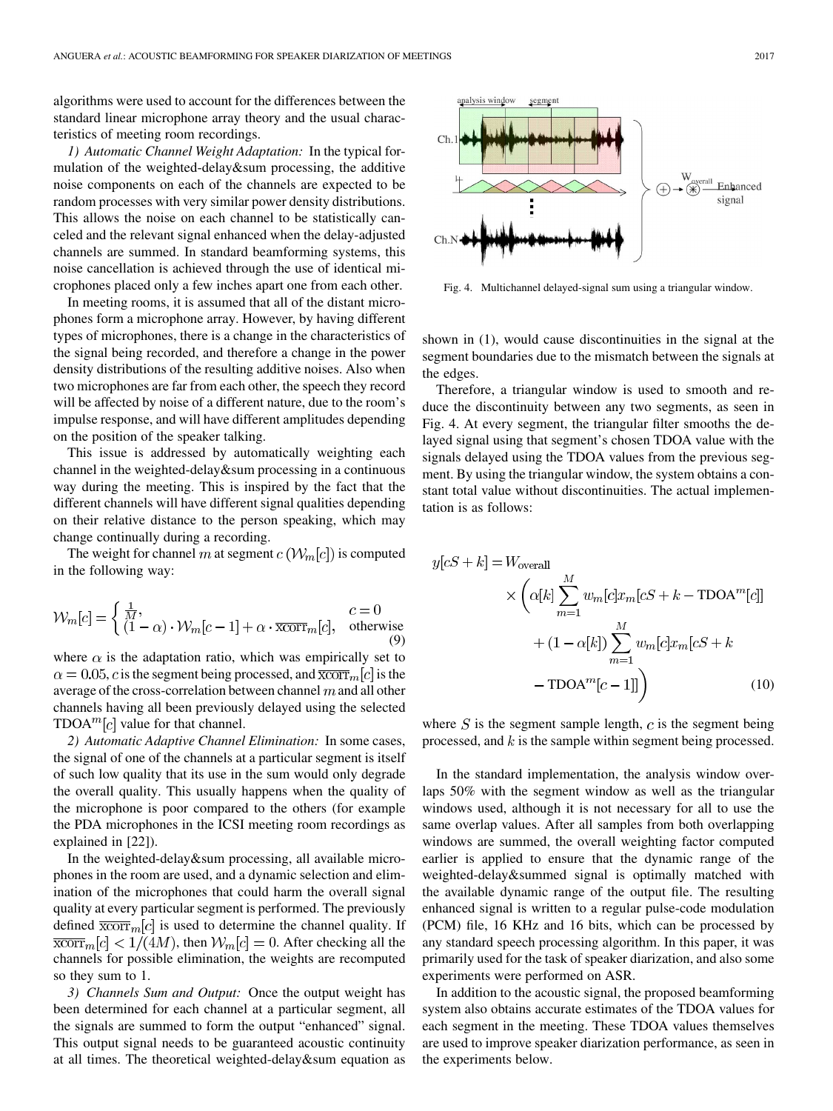algorithms were used to account for the differences between the standard linear microphone array theory and the usual characteristics of meeting room recordings.

*1) Automatic Channel Weight Adaptation:* In the typical formulation of the weighted-delay&sum processing, the additive noise components on each of the channels are expected to be random processes with very similar power density distributions. This allows the noise on each channel to be statistically canceled and the relevant signal enhanced when the delay-adjusted channels are summed. In standard beamforming systems, this noise cancellation is achieved through the use of identical microphones placed only a few inches apart one from each other.

In meeting rooms, it is assumed that all of the distant microphones form a microphone array. However, by having different types of microphones, there is a change in the characteristics of the signal being recorded, and therefore a change in the power density distributions of the resulting additive noises. Also when two microphones are far from each other, the speech they record will be affected by noise of a different nature, due to the room's impulse response, and will have different amplitudes depending on the position of the speaker talking.

This issue is addressed by automatically weighting each channel in the weighted-delay&sum processing in a continuous way during the meeting. This is inspired by the fact that the different channels will have different signal qualities depending on their relative distance to the person speaking, which may change continually during a recording.

The weight for channel m at segment  $c(W_m[c])$  is computed in the following way:

$$
\mathcal{W}_{m}[c] = \begin{cases} \frac{1}{M}, & c = 0\\ (1 - \alpha) \cdot \mathcal{W}_{m}[c - 1] + \alpha \cdot \overline{\text{Xcorr}}_{m}[c], & \text{otherwise} \end{cases}
$$
(9)

where  $\alpha$  is the adaptation ratio, which was empirically set to  $\alpha = 0.05$ , c is the segment being processed, and  $\overline{xcorr}_m[c]$  is the average of the cross-correlation between channel  $m$  and all other channels having all been previously delayed using the selected  $TDOA<sup>m</sup>[c]$  value for that channel.

*2) Automatic Adaptive Channel Elimination:* In some cases, the signal of one of the channels at a particular segment is itself of such low quality that its use in the sum would only degrade the overall quality. This usually happens when the quality of the microphone is poor compared to the others (for example the PDA microphones in the ICSI meeting room recordings as explained in [22]).

In the weighted-delay&sum processing, all available microphones in the room are used, and a dynamic selection and elimination of the microphones that could harm the overall signal quality at every particular segment is performed. The previously defined  $\overline{\text{XCorr}}_m[c]$  is used to determine the channel quality. If  $\overline{\text{Xcorr}}_m[c] < 1/(4M)$ , then  $\mathcal{W}_m[c] = 0$ . After checking all the channels for possible elimination, the weights are recomputed so they sum to 1.

*3) Channels Sum and Output:* Once the output weight has been determined for each channel at a particular segment, all the signals are summed to form the output "enhanced" signal. This output signal needs to be guaranteed acoustic continuity at all times. The theoretical weighted-delay&sum equation as



Fig. 4. Multichannel delayed-signal sum using a triangular window.

shown in (1), would cause discontinuities in the signal at the segment boundaries due to the mismatch between the signals at the edges.

Therefore, a triangular window is used to smooth and reduce the discontinuity between any two segments, as seen in Fig. 4. At every segment, the triangular filter smooths the delayed signal using that segment's chosen TDOA value with the signals delayed using the TDOA values from the previous segment. By using the triangular window, the system obtains a constant total value without discontinuities. The actual implementation is as follows:

$$
y[cS + k] = W_{\text{overall}} \times \left( \alpha[k] \sum_{m=1}^{M} w_m[c]x_m[cS + k - \text{TDOA}^m[c]] + (1 - \alpha[k]) \sum_{m=1}^{M} w_m[c]x_m[cS + k - \text{TDOA}^m[c-1]] \right)
$$
(10)

where  $S$  is the segment sample length,  $c$  is the segment being processed, and  $k$  is the sample within segment being processed.

In the standard implementation, the analysis window overlaps 50% with the segment window as well as the triangular windows used, although it is not necessary for all to use the same overlap values. After all samples from both overlapping windows are summed, the overall weighting factor computed earlier is applied to ensure that the dynamic range of the weighted-delay&summed signal is optimally matched with the available dynamic range of the output file. The resulting enhanced signal is written to a regular pulse-code modulation (PCM) file, 16 KHz and 16 bits, which can be processed by any standard speech processing algorithm. In this paper, it was primarily used for the task of speaker diarization, and also some experiments were performed on ASR.

In addition to the acoustic signal, the proposed beamforming system also obtains accurate estimates of the TDOA values for each segment in the meeting. These TDOA values themselves are used to improve speaker diarization performance, as seen in the experiments below.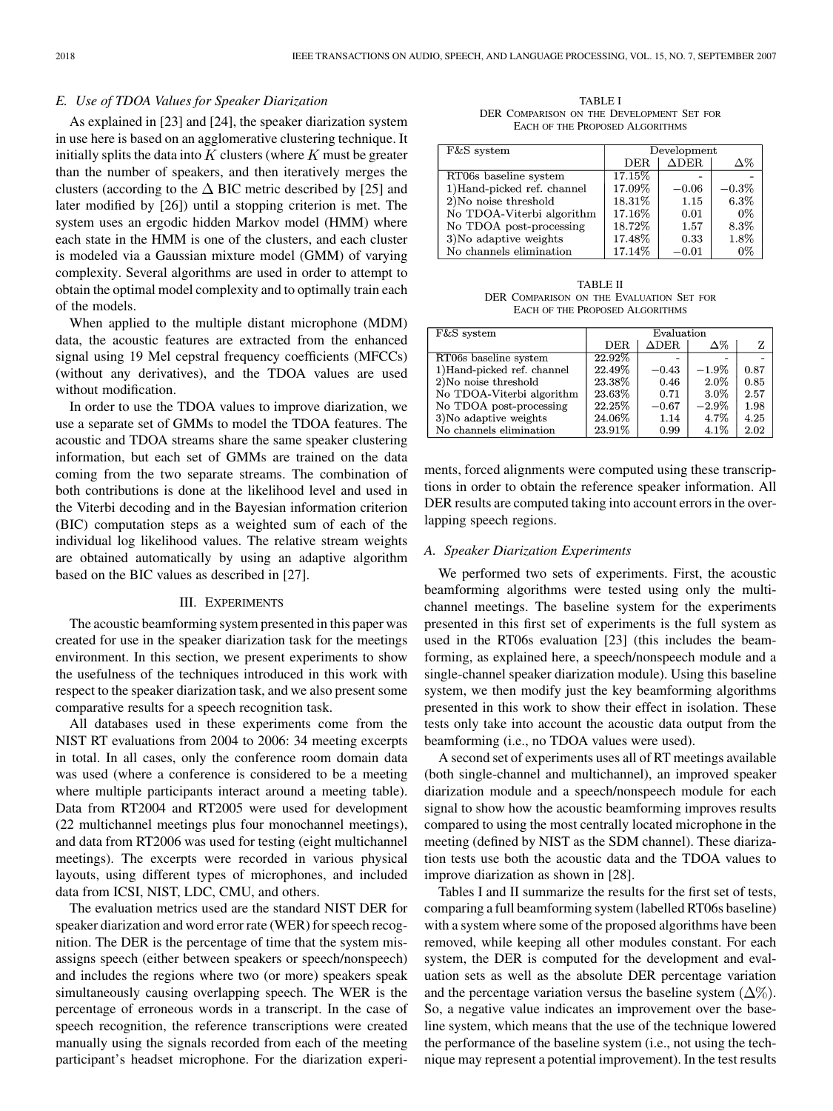## *E. Use of TDOA Values for Speaker Diarization*

As explained in [23] and [24], the speaker diarization system in use here is based on an agglomerative clustering technique. It initially splits the data into K clusters (where K must be greater than the number of speakers, and then iteratively merges the clusters (according to the  $\Delta$  BIC metric described by [25] and later modified by [26]) until a stopping criterion is met. The system uses an ergodic hidden Markov model (HMM) where each state in the HMM is one of the clusters, and each cluster is modeled via a Gaussian mixture model (GMM) of varying complexity. Several algorithms are used in order to attempt to obtain the optimal model complexity and to optimally train each of the models.

When applied to the multiple distant microphone (MDM) data, the acoustic features are extracted from the enhanced signal using 19 Mel cepstral frequency coefficients (MFCCs) (without any derivatives), and the TDOA values are used without modification.

In order to use the TDOA values to improve diarization, we use a separate set of GMMs to model the TDOA features. The acoustic and TDOA streams share the same speaker clustering information, but each set of GMMs are trained on the data coming from the two separate streams. The combination of both contributions is done at the likelihood level and used in the Viterbi decoding and in the Bayesian information criterion (BIC) computation steps as a weighted sum of each of the individual log likelihood values. The relative stream weights are obtained automatically by using an adaptive algorithm based on the BIC values as described in [27].

## III. EXPERIMENTS

The acoustic beamforming system presented in this paper was created for use in the speaker diarization task for the meetings environment. In this section, we present experiments to show the usefulness of the techniques introduced in this work with respect to the speaker diarization task, and we also present some comparative results for a speech recognition task.

All databases used in these experiments come from the NIST RT evaluations from 2004 to 2006: 34 meeting excerpts in total. In all cases, only the conference room domain data was used (where a conference is considered to be a meeting where multiple participants interact around a meeting table). Data from RT2004 and RT2005 were used for development (22 multichannel meetings plus four monochannel meetings), and data from RT2006 was used for testing (eight multichannel meetings). The excerpts were recorded in various physical layouts, using different types of microphones, and included data from ICSI, NIST, LDC, CMU, and others.

The evaluation metrics used are the standard NIST DER for speaker diarization and word error rate (WER) for speech recognition. The DER is the percentage of time that the system misassigns speech (either between speakers or speech/nonspeech) and includes the regions where two (or more) speakers speak simultaneously causing overlapping speech. The WER is the percentage of erroneous words in a transcript. In the case of speech recognition, the reference transcriptions were created manually using the signals recorded from each of the meeting participant's headset microphone. For the diarization experi-

TABLE I DER COMPARISON ON THE DEVELOPMENT SET FOR EACH OF THE PROPOSED ALGORITHMS

| $F&S$ system               | Development |                 |          |
|----------------------------|-------------|-----------------|----------|
|                            | DER.        | $\triangle$ DER | Δ%       |
| RT06s baseline system      | 17.15%      |                 |          |
| 1)Hand-picked ref. channel | 17.09%      | $-0.06$         | $-0.3\%$ |
| 2)No noise threshold       | 18.31%      | 1.15            | 6.3%     |
| No TDOA-Viterbi algorithm  | 17.16%      | 0.01            | $0\%$    |
| No TDOA post-processing    | 18.72%      | 1.57            | 8.3%     |
| 3) No adaptive weights     | 17.48%      | 0.33            | 1.8%     |
| No channels elimination    | 17.14%      | $-0.01$         | $0\%$    |

TABLE II DER COMPARISON ON THE EVALUATION SET FOR EACH OF THE PROPOSED ALGORITHMS

| $F&S$ system               | Evaluation |         |          |      |
|----------------------------|------------|---------|----------|------|
|                            | DER.       | ∆DER.   | Δ%       | z    |
| RT06s baseline system      | 22.92%     |         |          |      |
| 1)Hand-picked ref. channel | 22.49%     | $-0.43$ | $-1.9\%$ | 0.87 |
| 2)No noise threshold       | 23.38%     | 0.46    | $2.0\%$  | 0.85 |
| No TDOA-Viterbi algorithm  | 23.63%     | 0.71    | $3.0\%$  | 2.57 |
| No TDOA post-processing    | 22.25%     | $-0.67$ | $-2.9\%$ | 1.98 |
| 3) No adaptive weights     | 24.06%     | 1.14    | 4.7%     | 4.25 |
| No channels elimination    | 23.91%     | 0.99    | $4.1\%$  | 2.02 |

ments, forced alignments were computed using these transcriptions in order to obtain the reference speaker information. All DER results are computed taking into account errors in the overlapping speech regions.

#### *A. Speaker Diarization Experiments*

We performed two sets of experiments. First, the acoustic beamforming algorithms were tested using only the multichannel meetings. The baseline system for the experiments presented in this first set of experiments is the full system as used in the RT06s evaluation [23] (this includes the beamforming, as explained here, a speech/nonspeech module and a single-channel speaker diarization module). Using this baseline system, we then modify just the key beamforming algorithms presented in this work to show their effect in isolation. These tests only take into account the acoustic data output from the beamforming (i.e., no TDOA values were used).

A second set of experiments uses all of RT meetings available (both single-channel and multichannel), an improved speaker diarization module and a speech/nonspeech module for each signal to show how the acoustic beamforming improves results compared to using the most centrally located microphone in the meeting (defined by NIST as the SDM channel). These diarization tests use both the acoustic data and the TDOA values to improve diarization as shown in [28].

Tables I and II summarize the results for the first set of tests, comparing a full beamforming system (labelled RT06s baseline) with a system where some of the proposed algorithms have been removed, while keeping all other modules constant. For each system, the DER is computed for the development and evaluation sets as well as the absolute DER percentage variation and the percentage variation versus the baseline system  $(\Delta\%)$ . So, a negative value indicates an improvement over the baseline system, which means that the use of the technique lowered the performance of the baseline system (i.e., not using the technique may represent a potential improvement). In the test results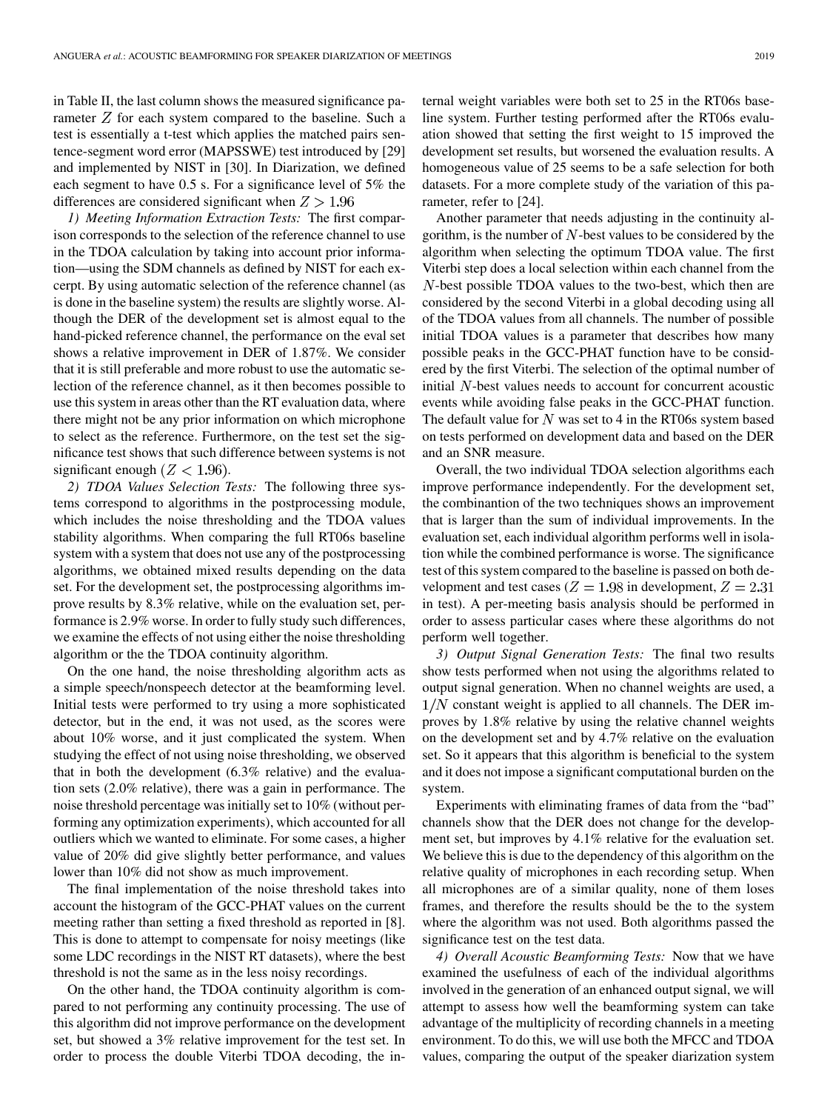in Table II, the last column shows the measured significance parameter  $Z$  for each system compared to the baseline. Such a test is essentially a t-test which applies the matched pairs sentence-segment word error (MAPSSWE) test introduced by [29] and implemented by NIST in [30]. In Diarization, we defined each segment to have 0.5 s. For a significance level of 5% the differences are considered significant when  $Z > 1.96$ 

*1) Meeting Information Extraction Tests:* The first comparison corresponds to the selection of the reference channel to use in the TDOA calculation by taking into account prior information—using the SDM channels as defined by NIST for each excerpt. By using automatic selection of the reference channel (as is done in the baseline system) the results are slightly worse. Although the DER of the development set is almost equal to the hand-picked reference channel, the performance on the eval set shows a relative improvement in DER of 1.87%. We consider that it is still preferable and more robust to use the automatic selection of the reference channel, as it then becomes possible to use this system in areas other than the RT evaluation data, where there might not be any prior information on which microphone to select as the reference. Furthermore, on the test set the significance test shows that such difference between systems is not significant enough  $(Z < 1.96)$ .

*2) TDOA Values Selection Tests:* The following three systems correspond to algorithms in the postprocessing module, which includes the noise thresholding and the TDOA values stability algorithms. When comparing the full RT06s baseline system with a system that does not use any of the postprocessing algorithms, we obtained mixed results depending on the data set. For the development set, the postprocessing algorithms improve results by 8.3% relative, while on the evaluation set, performance is 2.9% worse. In order to fully study such differences, we examine the effects of not using either the noise thresholding algorithm or the the TDOA continuity algorithm.

On the one hand, the noise thresholding algorithm acts as a simple speech/nonspeech detector at the beamforming level. Initial tests were performed to try using a more sophisticated detector, but in the end, it was not used, as the scores were about 10% worse, and it just complicated the system. When studying the effect of not using noise thresholding, we observed that in both the development (6.3% relative) and the evaluation sets (2.0% relative), there was a gain in performance. The noise threshold percentage was initially set to 10% (without performing any optimization experiments), which accounted for all outliers which we wanted to eliminate. For some cases, a higher value of 20% did give slightly better performance, and values lower than 10% did not show as much improvement.

The final implementation of the noise threshold takes into account the histogram of the GCC-PHAT values on the current meeting rather than setting a fixed threshold as reported in [8]. This is done to attempt to compensate for noisy meetings (like some LDC recordings in the NIST RT datasets), where the best threshold is not the same as in the less noisy recordings.

On the other hand, the TDOA continuity algorithm is compared to not performing any continuity processing. The use of this algorithm did not improve performance on the development set, but showed a 3% relative improvement for the test set. In order to process the double Viterbi TDOA decoding, the internal weight variables were both set to 25 in the RT06s baseline system. Further testing performed after the RT06s evaluation showed that setting the first weight to 15 improved the development set results, but worsened the evaluation results. A homogeneous value of 25 seems to be a safe selection for both datasets. For a more complete study of the variation of this parameter, refer to [24].

Another parameter that needs adjusting in the continuity algorithm, is the number of  $N$ -best values to be considered by the algorithm when selecting the optimum TDOA value. The first Viterbi step does a local selection within each channel from the  $N$ -best possible TDOA values to the two-best, which then are considered by the second Viterbi in a global decoding using all of the TDOA values from all channels. The number of possible initial TDOA values is a parameter that describes how many possible peaks in the GCC-PHAT function have to be considered by the first Viterbi. The selection of the optimal number of initial  $N$ -best values needs to account for concurrent acoustic events while avoiding false peaks in the GCC-PHAT function. The default value for  $N$  was set to 4 in the RT06s system based on tests performed on development data and based on the DER and an SNR measure.

Overall, the two individual TDOA selection algorithms each improve performance independently. For the development set, the combinantion of the two techniques shows an improvement that is larger than the sum of individual improvements. In the evaluation set, each individual algorithm performs well in isolation while the combined performance is worse. The significance test of this system compared to the baseline is passed on both development and test cases ( $Z = 1.98$  in development,  $Z = 2.31$ in test). A per-meeting basis analysis should be performed in order to assess particular cases where these algorithms do not perform well together.

*3) Output Signal Generation Tests:* The final two results show tests performed when not using the algorithms related to output signal generation. When no channel weights are used, a  $1/N$  constant weight is applied to all channels. The DER improves by 1.8% relative by using the relative channel weights on the development set and by 4.7% relative on the evaluation set. So it appears that this algorithm is beneficial to the system and it does not impose a significant computational burden on the system.

Experiments with eliminating frames of data from the "bad" channels show that the DER does not change for the development set, but improves by 4.1% relative for the evaluation set. We believe this is due to the dependency of this algorithm on the relative quality of microphones in each recording setup. When all microphones are of a similar quality, none of them loses frames, and therefore the results should be the to the system where the algorithm was not used. Both algorithms passed the significance test on the test data.

*4) Overall Acoustic Beamforming Tests:* Now that we have examined the usefulness of each of the individual algorithms involved in the generation of an enhanced output signal, we will attempt to assess how well the beamforming system can take advantage of the multiplicity of recording channels in a meeting environment. To do this, we will use both the MFCC and TDOA values, comparing the output of the speaker diarization system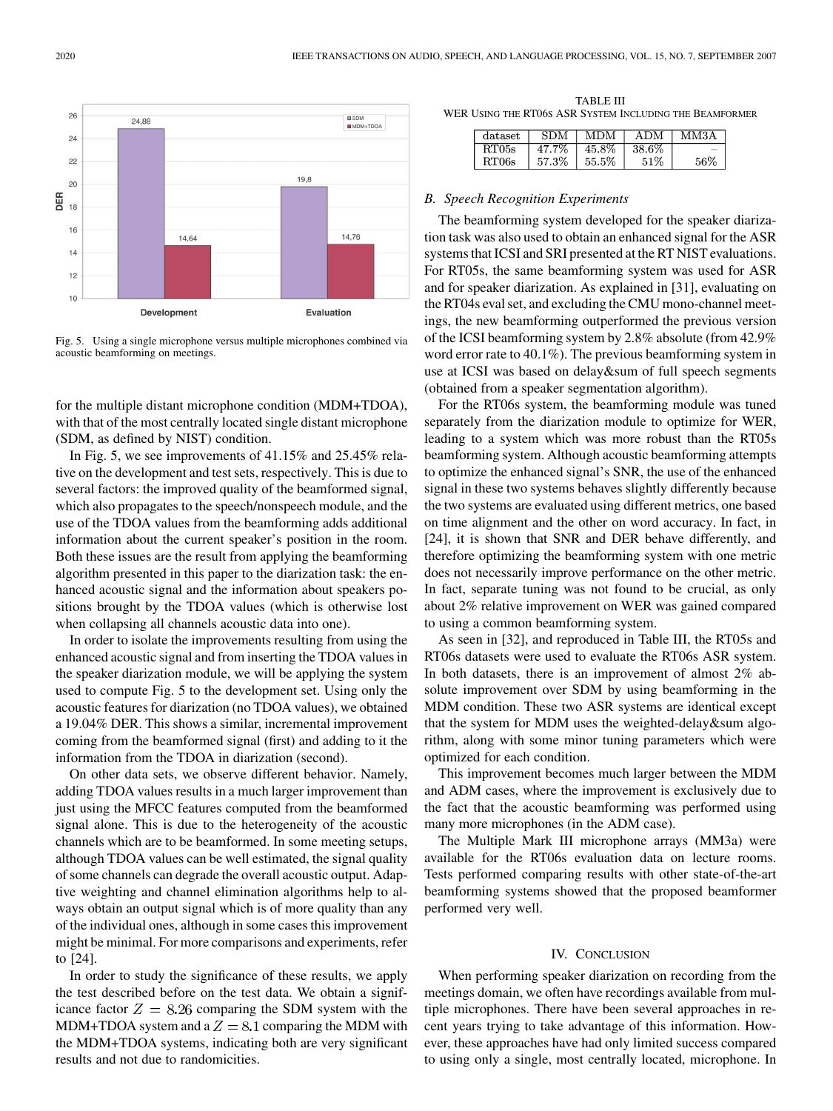

Fig. 5. Using a single microphone versus multiple microphones combined via acoustic beamforming on meetings.

for the multiple distant microphone condition (MDM+TDOA), with that of the most centrally located single distant microphone (SDM, as defined by NIST) condition.

In Fig. 5, we see improvements of 41.15% and 25.45% relative on the development and test sets, respectively. This is due to several factors: the improved quality of the beamformed signal, which also propagates to the speech/nonspeech module, and the use of the TDOA values from the beamforming adds additional information about the current speaker's position in the room. Both these issues are the result from applying the beamforming algorithm presented in this paper to the diarization task: the enhanced acoustic signal and the information about speakers positions brought by the TDOA values (which is otherwise lost when collapsing all channels acoustic data into one).

In order to isolate the improvements resulting from using the enhanced acoustic signal and from inserting the TDOA values in the speaker diarization module, we will be applying the system used to compute Fig. 5 to the development set. Using only the acoustic features for diarization (no TDOA values), we obtained a 19.04% DER. This shows a similar, incremental improvement coming from the beamformed signal (first) and adding to it the information from the TDOA in diarization (second).

On other data sets, we observe different behavior. Namely, adding TDOA values results in a much larger improvement than just using the MFCC features computed from the beamformed signal alone. This is due to the heterogeneity of the acoustic channels which are to be beamformed. In some meeting setups, although TDOA values can be well estimated, the signal quality of some channels can degrade the overall acoustic output. Adaptive weighting and channel elimination algorithms help to always obtain an output signal which is of more quality than any of the individual ones, although in some cases this improvement might be minimal. For more comparisons and experiments, refer to [24].

In order to study the significance of these results, we apply the test described before on the test data. We obtain a significance factor  $Z = 8.26$  comparing the SDM system with the MDM+TDOA system and a  $Z = 8.1$  comparing the MDM with the MDM+TDOA systems, indicating both are very significant results and not due to randomicities.

TABLE III WER USING THE RT06S ASR SYSTEM INCLUDING THE BEAMFORMER

| dataset | SDM   | <b>MDM</b> | ADM   | MM3A |
|---------|-------|------------|-------|------|
| RT05s   | 47.7% | 45.8%      | 38.6% |      |
| RT06s   | 57.3% | 55.5%      | 51%   | 56%  |

## *B. Speech Recognition Experiments*

The beamforming system developed for the speaker diarization task was also used to obtain an enhanced signal for the ASR systems that ICSI and SRI presented at the RT NIST evaluations. For RT05s, the same beamforming system was used for ASR and for speaker diarization. As explained in [31], evaluating on the RT04s eval set, and excluding the CMU mono-channel meetings, the new beamforming outperformed the previous version of the ICSI beamforming system by 2.8% absolute (from 42.9% word error rate to 40.1%). The previous beamforming system in use at ICSI was based on delay&sum of full speech segments (obtained from a speaker segmentation algorithm).

For the RT06s system, the beamforming module was tuned separately from the diarization module to optimize for WER, leading to a system which was more robust than the RT05s beamforming system. Although acoustic beamforming attempts to optimize the enhanced signal's SNR, the use of the enhanced signal in these two systems behaves slightly differently because the two systems are evaluated using different metrics, one based on time alignment and the other on word accuracy. In fact, in [24], it is shown that SNR and DER behave differently, and therefore optimizing the beamforming system with one metric does not necessarily improve performance on the other metric. In fact, separate tuning was not found to be crucial, as only about 2% relative improvement on WER was gained compared to using a common beamforming system.

As seen in [32], and reproduced in Table III, the RT05s and RT06s datasets were used to evaluate the RT06s ASR system. In both datasets, there is an improvement of almost 2% absolute improvement over SDM by using beamforming in the MDM condition. These two ASR systems are identical except that the system for MDM uses the weighted-delay&sum algorithm, along with some minor tuning parameters which were optimized for each condition.

This improvement becomes much larger between the MDM and ADM cases, where the improvement is exclusively due to the fact that the acoustic beamforming was performed using many more microphones (in the ADM case).

The Multiple Mark III microphone arrays (MM3a) were available for the RT06s evaluation data on lecture rooms. Tests performed comparing results with other state-of-the-art beamforming systems showed that the proposed beamformer performed very well.

## IV. CONCLUSION

When performing speaker diarization on recording from the meetings domain, we often have recordings available from multiple microphones. There have been several approaches in recent years trying to take advantage of this information. However, these approaches have had only limited success compared to using only a single, most centrally located, microphone. In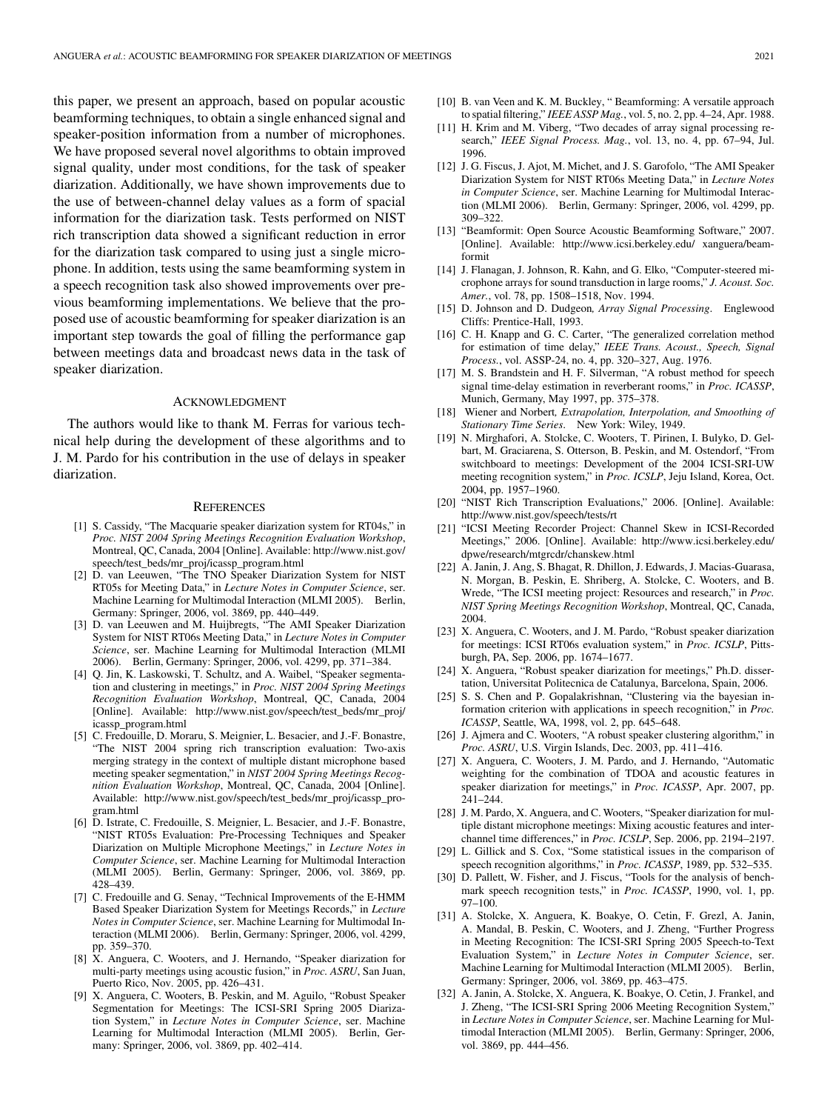this paper, we present an approach, based on popular acoustic beamforming techniques, to obtain a single enhanced signal and speaker-position information from a number of microphones. We have proposed several novel algorithms to obtain improved signal quality, under most conditions, for the task of speaker diarization. Additionally, we have shown improvements due to the use of between-channel delay values as a form of spacial information for the diarization task. Tests performed on NIST rich transcription data showed a significant reduction in error for the diarization task compared to using just a single microphone. In addition, tests using the same beamforming system in a speech recognition task also showed improvements over previous beamforming implementations. We believe that the proposed use of acoustic beamforming for speaker diarization is an important step towards the goal of filling the performance gap between meetings data and broadcast news data in the task of speaker diarization.

## ACKNOWLEDGMENT

The authors would like to thank M. Ferras for various technical help during the development of these algorithms and to J. M. Pardo for his contribution in the use of delays in speaker diarization.

#### **REFERENCES**

- [1] S. Cassidy, "The Macquarie speaker diarization system for RT04s," in *Proc. NIST 2004 Spring Meetings Recognition Evaluation Workshop*, Montreal, QC, Canada, 2004 [Online]. Available: http://www.nist.gov/ speech/test\_beds/mr\_proj/icassp\_program.html
- [2] D. van Leeuwen, "The TNO Speaker Diarization System for NIST RT05s for Meeting Data," in *Lecture Notes in Computer Science*, ser. Machine Learning for Multimodal Interaction (MLMI 2005). Berlin, Germany: Springer, 2006, vol. 3869, pp. 440–449.
- [3] D. van Leeuwen and M. Huijbregts, "The AMI Speaker Diarization System for NIST RT06s Meeting Data," in *Lecture Notes in Computer Science*, ser. Machine Learning for Multimodal Interaction (MLMI 2006). Berlin, Germany: Springer, 2006, vol. 4299, pp. 371–384.
- [4] O. Jin, K. Laskowski, T. Schultz, and A. Waibel, "Speaker segmentation and clustering in meetings," in *Proc. NIST 2004 Spring Meetings Recognition Evaluation Workshop*, Montreal, QC, Canada, 2004 [Online]. Available: http://www.nist.gov/speech/test\_beds/mr\_proj/ icassp\_program.html
- [5] C. Fredouille, D. Moraru, S. Meignier, L. Besacier, and J.-F. Bonastre, "The NIST 2004 spring rich transcription evaluation: Two-axis merging strategy in the context of multiple distant microphone based meeting speaker segmentation," in *NIST 2004 Spring Meetings Recognition Evaluation Workshop*, Montreal, QC, Canada, 2004 [Online]. Available: http://www.nist.gov/speech/test\_beds/mr\_proj/icassp\_program.html
- [6] D. Istrate, C. Fredouille, S. Meignier, L. Besacier, and J.-F. Bonastre, "NIST RT05s Evaluation: Pre-Processing Techniques and Speaker Diarization on Multiple Microphone Meetings," in *Lecture Notes in Computer Science*, ser. Machine Learning for Multimodal Interaction (MLMI 2005). Berlin, Germany: Springer, 2006, vol. 3869, pp. 428–439.
- [7] C. Fredouille and G. Senay, "Technical Improvements of the E-HMM Based Speaker Diarization System for Meetings Records," in *Lecture Notes in Computer Science*, ser. Machine Learning for Multimodal Interaction (MLMI 2006). Berlin, Germany: Springer, 2006, vol. 4299, pp. 359–370.
- [8] X. Anguera, C. Wooters, and J. Hernando, "Speaker diarization for multi-party meetings using acoustic fusion," in *Proc. ASRU*, San Juan, Puerto Rico, Nov. 2005, pp. 426–431.
- [9] X. Anguera, C. Wooters, B. Peskin, and M. Aguilo, "Robust Speaker Segmentation for Meetings: The ICSI-SRI Spring 2005 Diarization System," in *Lecture Notes in Computer Science*, ser. Machine Learning for Multimodal Interaction (MLMI 2005). Berlin, Germany: Springer, 2006, vol. 3869, pp. 402–414.
- [10] B. van Veen and K. M. Buckley, " Beamforming: A versatile approach to spatial filtering," *IEEE ASSP Mag.*, vol. 5, no. 2, pp. 4–24, Apr. 1988.
- [11] H. Krim and M. Viberg, "Two decades of array signal processing research," *IEEE Signal Process. Mag.*, vol. 13, no. 4, pp. 67–94, Jul. 1996.
- [12] J. G. Fiscus, J. Ajot, M. Michet, and J. S. Garofolo, "The AMI Speaker Diarization System for NIST RT06s Meeting Data," in *Lecture Notes in Computer Science*, ser. Machine Learning for Multimodal Interaction (MLMI 2006). Berlin, Germany: Springer, 2006, vol. 4299, pp. 309–322.
- [13] "Beamformit: Open Source Acoustic Beamforming Software," 2007. [Online]. Available: http://www.icsi.berkeley.edu/ xanguera/beamformit
- [14] J. Flanagan, J. Johnson, R. Kahn, and G. Elko, "Computer-steered microphone arrays for sound transduction in large rooms," *J. Acoust. Soc. Amer.*, vol. 78, pp. 1508–1518, Nov. 1994.
- [15] D. Johnson and D. Dudgeon*, Array Signal Processing*. Englewood Cliffs: Prentice-Hall, 1993.
- [16] C. H. Knapp and G. C. Carter, "The generalized correlation method for estimation of time delay," *IEEE Trans. Acoust., Speech, Signal Process.*, vol. ASSP-24, no. 4, pp. 320–327, Aug. 1976.
- [17] M. S. Brandstein and H. F. Silverman, "A robust method for speech signal time-delay estimation in reverberant rooms," in *Proc. ICASSP*, Munich, Germany, May 1997, pp. 375–378.
- [18] Wiener and Norbert*, Extrapolation, Interpolation, and Smoothing of Stationary Time Series*. New York: Wiley, 1949.
- [19] N. Mirghafori, A. Stolcke, C. Wooters, T. Pirinen, I. Bulyko, D. Gelbart, M. Graciarena, S. Otterson, B. Peskin, and M. Ostendorf, "From switchboard to meetings: Development of the 2004 ICSI-SRI-UW meeting recognition system," in *Proc. ICSLP*, Jeju Island, Korea, Oct. 2004, pp. 1957–1960.
- [20] "NIST Rich Transcription Evaluations," 2006. [Online]. Available: http://www.nist.gov/speech/tests/rt
- [21] "ICSI Meeting Recorder Project: Channel Skew in ICSI-Recorded Meetings," 2006. [Online]. Available: http://www.icsi.berkeley.edu/ dpwe/research/mtgrcdr/chanskew.html
- [22] A. Janin, J. Ang, S. Bhagat, R. Dhillon, J. Edwards, J. Macias-Guarasa, N. Morgan, B. Peskin, E. Shriberg, A. Stolcke, C. Wooters, and B. Wrede, "The ICSI meeting project: Resources and research," in *Proc. NIST Spring Meetings Recognition Workshop*, Montreal, QC, Canada, 2004.
- [23] X. Anguera, C. Wooters, and J. M. Pardo, "Robust speaker diarization for meetings: ICSI RT06s evaluation system," in *Proc. ICSLP*, Pittsburgh, PA, Sep. 2006, pp. 1674–1677.
- [24] X. Anguera, "Robust speaker diarization for meetings," Ph.D. dissertation, Universitat Politecnica de Catalunya, Barcelona, Spain, 2006.
- [25] S. S. Chen and P. Gopalakrishnan, "Clustering via the bayesian information criterion with applications in speech recognition," in *Proc. ICASSP*, Seattle, WA, 1998, vol. 2, pp. 645–648.
- [26] J. Ajmera and C. Wooters, "A robust speaker clustering algorithm," in *Proc. ASRU*, U.S. Virgin Islands, Dec. 2003, pp. 411–416.
- [27] X. Anguera, C. Wooters, J. M. Pardo, and J. Hernando, "Automatic weighting for the combination of TDOA and acoustic features in speaker diarization for meetings," in *Proc. ICASSP*, Apr. 2007, pp. 241–244.
- [28] J. M. Pardo, X. Anguera, and C. Wooters, "Speaker diarization for multiple distant microphone meetings: Mixing acoustic features and interchannel time differences," in *Proc. ICSLP*, Sep. 2006, pp. 2194–2197.
- [29] L. Gillick and S. Cox, "Some statistical issues in the comparison of speech recognition algorithms," in *Proc. ICASSP*, 1989, pp. 532–535.
- [30] D. Pallett, W. Fisher, and J. Fiscus, "Tools for the analysis of benchmark speech recognition tests," in *Proc. ICASSP*, 1990, vol. 1, pp. 97–100.
- [31] A. Stolcke, X. Anguera, K. Boakye, O. Cetin, F. Grezl, A. Janin, A. Mandal, B. Peskin, C. Wooters, and J. Zheng, "Further Progress in Meeting Recognition: The ICSI-SRI Spring 2005 Speech-to-Text Evaluation System," in *Lecture Notes in Computer Science*, ser. Machine Learning for Multimodal Interaction (MLMI 2005). Berlin, Germany: Springer, 2006, vol. 3869, pp. 463–475.
- [32] A. Janin, A. Stolcke, X. Anguera, K. Boakye, O. Cetin, J. Frankel, and J. Zheng, "The ICSI-SRI Spring 2006 Meeting Recognition System," in *Lecture Notes in Computer Science*, ser. Machine Learning for Multimodal Interaction (MLMI 2005). Berlin, Germany: Springer, 2006, vol. 3869, pp. 444–456.